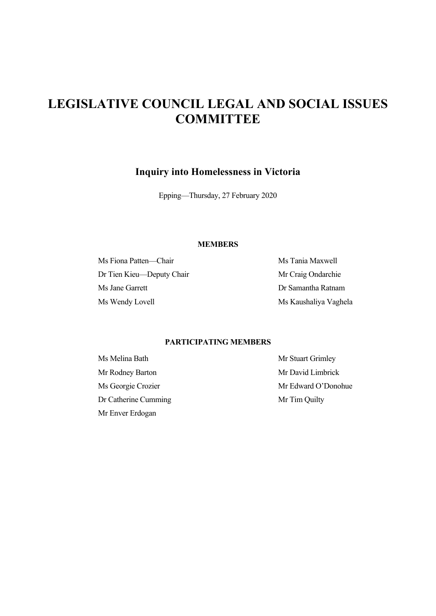# **LEGISLATIVE COUNCIL LEGAL AND SOCIAL ISSUES COMMITTEE**

# **Inquiry into Homelessness in Victoria**

Epping—Thursday, 27 February 2020

## **MEMBERS**

Ms Fiona Patten—Chair Ms Tania Maxwell Dr Tien Kieu—Deputy Chair Mr Craig Ondarchie Ms Jane Garrett Dr Samantha Ratnam Ms Wendy Lovell Ms Kaushaliya Vaghela

## **PARTICIPATING MEMBERS**

Ms Melina Bath Mr Stuart Grimley Mr Rodney Barton Mr David Limbrick Dr Catherine Cumming Mr Tim Quilty Mr Enver Erdogan

Ms Georgie Crozier Mr Edward O'Donohue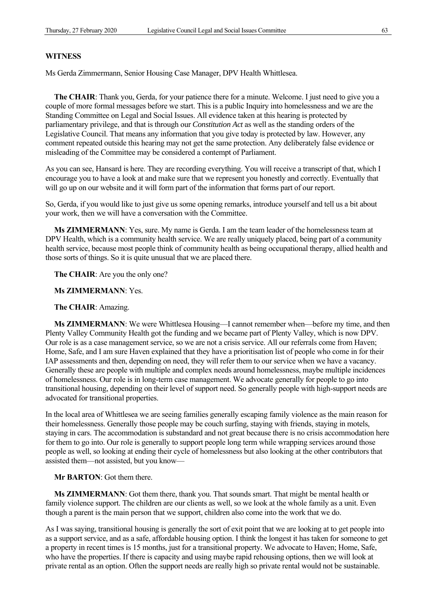#### **WITNESS**

Ms Gerda Zimmermann, Senior Housing Case Manager, DPV Health Whittlesea.

**The CHAIR**: Thank you, Gerda, for your patience there for a minute. Welcome. I just need to give you a couple of more formal messages before we start. This is a public Inquiry into homelessness and we are the Standing Committee on Legal and Social Issues. All evidence taken at this hearing is protected by parliamentary privilege, and that is through our *Constitution Act* as well as the standing orders of the Legislative Council. That means any information that you give today is protected by law. However, any comment repeated outside this hearing may not get the same protection. Any deliberately false evidence or misleading of the Committee may be considered a contempt of Parliament.

As you can see, Hansard is here. They are recording everything. You will receive a transcript of that, which I encourage you to have a look at and make sure that we represent you honestly and correctly. Eventually that will go up on our website and it will form part of the information that forms part of our report.

So, Gerda, if you would like to just give us some opening remarks, introduce yourself and tell us a bit about your work, then we will have a conversation with the Committee.

**Ms ZIMMERMANN**: Yes, sure. My name is Gerda. I am the team leader of the homelessness team at DPV Health, which is a community health service. We are really uniquely placed, being part of a community health service, because most people think of community health as being occupational therapy, allied health and those sorts of things. So it is quite unusual that we are placed there.

**The CHAIR**: Are you the only one?

#### **Ms ZIMMERMANN**: Yes.

#### **The CHAIR**: Amazing.

**Ms ZIMMERMANN**: We were Whittlesea Housing—I cannot remember when—before my time, and then Plenty Valley Community Health got the funding and we became part of Plenty Valley, which is now DPV. Our role is as a case management service, so we are not a crisis service. All our referrals come from Haven; Home, Safe, and I am sure Haven explained that they have a prioritisation list of people who come in for their IAP assessments and then, depending on need, they will refer them to our service when we have a vacancy. Generally these are people with multiple and complex needs around homelessness, maybe multiple incidences of homelessness. Our role is in long-term case management. We advocate generally for people to go into transitional housing, depending on their level of support need. So generally people with high-support needs are advocated for transitional properties.

In the local area of Whittlesea we are seeing families generally escaping family violence as the main reason for their homelessness. Generally those people may be couch surfing, staying with friends, staying in motels, staying in cars. The accommodation is substandard and not great because there is no crisis accommodation here for them to go into. Our role is generally to support people long term while wrapping services around those people as well, so looking at ending their cycle of homelessness but also looking at the other contributors that assisted them—not assisted, but you know—

# **Mr BARTON**: Got them there.

**Ms ZIMMERMANN**: Got them there, thank you. That sounds smart. That might be mental health or family violence support. The children are our clients as well, so we look at the whole family as a unit. Even though a parent is the main person that we support, children also come into the work that we do.

As I was saying, transitional housing is generally the sort of exit point that we are looking at to get people into as a support service, and as a safe, affordable housing option. I think the longest it has taken for someone to get a property in recent times is 15 months, just for a transitional property. We advocate to Haven; Home, Safe, who have the properties. If there is capacity and using maybe rapid rehousing options, then we will look at private rental as an option. Often the support needs are really high so private rental would not be sustainable.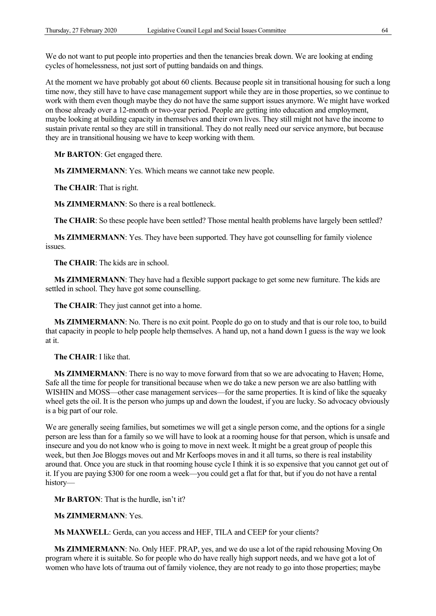We do not want to put people into properties and then the tenancies break down. We are looking at ending cycles of homelessness, not just sort of putting bandaids on and things.

At the moment we have probably got about 60 clients. Because people sit in transitional housing for such a long time now, they still have to have case management support while they are in those properties, so we continue to work with them even though maybe they do not have the same support issues anymore. We might have worked on those already over a 12-month or two-year period. People are getting into education and employment, maybe looking at building capacity in themselves and their own lives. They still might not have the income to sustain private rental so they are still in transitional. They do not really need our service anymore, but because they are in transitional housing we have to keep working with them.

**Mr BARTON**: Get engaged there.

**Ms ZIMMERMANN**: Yes. Which means we cannot take new people.

**The CHAIR**: That is right.

**Ms ZIMMERMANN**: So there is a real bottleneck.

**The CHAIR**: So these people have been settled? Those mental health problems have largely been settled?

**Ms ZIMMERMANN**: Yes. They have been supported. They have got counselling for family violence issues.

**The CHAIR**: The kids are in school.

**Ms ZIMMERMANN**: They have had a flexible support package to get some new furniture. The kids are settled in school. They have got some counselling.

**The CHAIR**: They just cannot get into a home.

**Ms ZIMMERMANN**: No. There is no exit point. People do go on to study and that is our role too, to build that capacity in people to help people help themselves. A hand up, not a hand down I guess is the way we look at it.

**The CHAIR**: I like that.

**Ms ZIMMERMANN**: There is no way to move forward from that so we are advocating to Haven; Home, Safe all the time for people for transitional because when we do take a new person we are also battling with WISHIN and MOSS—other case management services—for the same properties. It is kind of like the squeaky wheel gets the oil. It is the person who jumps up and down the loudest, if you are lucky. So advocacy obviously is a big part of our role.

We are generally seeing families, but sometimes we will get a single person come, and the options for a single person are less than for a family so we will have to look at a rooming house for that person, which is unsafe and insecure and you do not know who is going to move in next week. It might be a great group of people this week, but then Joe Bloggs moves out and Mr Kerfoops moves in and it all turns, so there is real instability around that. Once you are stuck in that rooming house cycle I think it is so expensive that you cannot get out of it. If you are paying \$300 for one room a week—you could get a flat for that, but if you do not have a rental history—

**Mr BARTON**: That is the hurdle, isn't it?

**Ms ZIMMERMANN**: Yes.

**Ms MAXWELL**: Gerda, can you access and HEF, TILA and CEEP for your clients?

**Ms ZIMMERMANN**: No. Only HEF. PRAP, yes, and we do use a lot of the rapid rehousing Moving On program where it is suitable. So for people who do have really high support needs, and we have got a lot of women who have lots of trauma out of family violence, they are not ready to go into those properties; maybe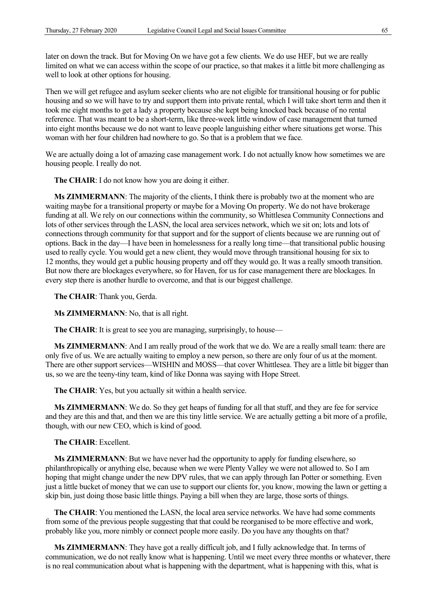later on down the track. But for Moving On we have got a few clients. We do use HEF, but we are really limited on what we can access within the scope of our practice, so that makes it a little bit more challenging as well to look at other options for housing.

Then we will get refugee and asylum seeker clients who are not eligible for transitional housing or for public housing and so we will have to try and support them into private rental, which I will take short term and then it took me eight months to get a lady a property because she kept being knocked back because of no rental reference. That was meant to be a short-term, like three-week little window of case management that turned into eight months because we do not want to leave people languishing either where situations get worse. This woman with her four children had nowhere to go. So that is a problem that we face.

We are actually doing a lot of amazing case management work. I do not actually know how sometimes we are housing people. I really do not.

**The CHAIR**: I do not know how you are doing it either.

**Ms ZIMMERMANN**: The majority of the clients, I think there is probably two at the moment who are waiting maybe for a transitional property or maybe for a Moving On property. We do not have brokerage funding at all. We rely on our connections within the community, so Whittlesea Community Connections and lots of other services through the LASN, the local area services network, which we sit on; lots and lots of connections through community for that support and for the support of clients because we are running out of options. Back in the day—I have been in homelessness for a really long time—that transitional public housing used to really cycle. You would get a new client, they would move through transitional housing for six to 12 months, they would get a public housing property and off they would go. It was a really smooth transition. But now there are blockages everywhere, so for Haven, for us for case management there are blockages. In every step there is another hurdle to overcome, and that is our biggest challenge.

**The CHAIR**: Thank you, Gerda.

**Ms ZIMMERMANN**: No, that is all right.

**The CHAIR:** It is great to see you are managing, surprisingly, to house—

**Ms ZIMMERMANN:** And I am really proud of the work that we do. We are a really small team: there are only five of us. We are actually waiting to employ a new person, so there are only four of us at the moment. There are other support services—WISHIN and MOSS—that cover Whittlesea. They are a little bit bigger than us, so we are the teeny-tiny team, kind of like Donna was saying with Hope Street.

**The CHAIR**: Yes, but you actually sit within a health service.

**Ms ZIMMERMANN**: We do. So they get heaps of funding for all that stuff, and they are fee for service and they are this and that, and then we are this tiny little service. We are actually getting a bit more of a profile, though, with our new CEO, which is kind of good.

**The CHAIR**: Excellent.

**Ms ZIMMERMANN**: But we have never had the opportunity to apply for funding elsewhere, so philanthropically or anything else, because when we were Plenty Valley we were not allowed to. So I am hoping that might change under the new DPV rules, that we can apply through Ian Potter or something. Even just a little bucket of money that we can use to support our clients for, you know, mowing the lawn or getting a skip bin, just doing those basic little things. Paying a bill when they are large, those sorts of things.

**The CHAIR**: You mentioned the LASN, the local area service networks. We have had some comments from some of the previous people suggesting that that could be reorganised to be more effective and work, probably like you, more nimbly or connect people more easily. Do you have any thoughts on that?

**Ms ZIMMERMANN**: They have got a really difficult job, and I fully acknowledge that. In terms of communication, we do not really know what is happening. Until we meet every three months or whatever, there is no real communication about what is happening with the department, what is happening with this, what is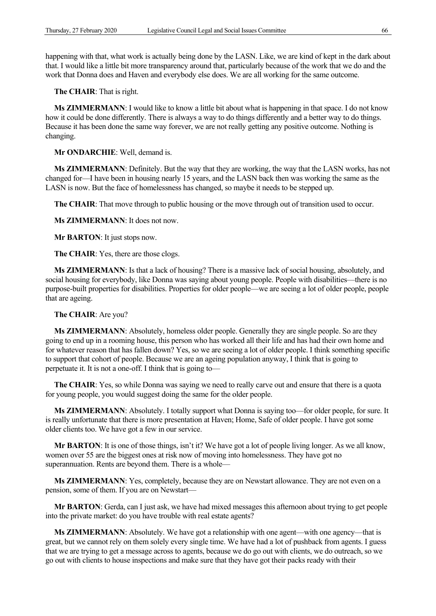happening with that, what work is actually being done by the LASN. Like, we are kind of kept in the dark about that. I would like a little bit more transparency around that, particularly because of the work that we do and the work that Donna does and Haven and everybody else does. We are all working for the same outcome.

**The CHAIR**: That is right.

**Ms ZIMMERMANN**: I would like to know a little bit about what is happening in that space. I do not know how it could be done differently. There is always a way to do things differently and a better way to do things. Because it has been done the same way forever, we are not really getting any positive outcome. Nothing is changing.

**Mr ONDARCHIE**: Well, demand is.

**Ms ZIMMERMANN**: Definitely. But the way that they are working, the way that the LASN works, has not changed for—I have been in housing nearly 15 years, and the LASN back then was working the same as the LASN is now. But the face of homelessness has changed, so maybe it needs to be stepped up.

**The CHAIR**: That move through to public housing or the move through out of transition used to occur.

**Ms ZIMMERMANN**: It does not now.

**Mr BARTON**: It just stops now.

**The CHAIR**: Yes, there are those clogs.

**Ms ZIMMERMANN**: Is that a lack of housing? There is a massive lack of social housing, absolutely, and social housing for everybody, like Donna was saying about young people. People with disabilities—there is no purpose-built properties for disabilities. Properties for older people—we are seeing a lot of older people, people that are ageing.

**The CHAIR**: Are you?

**Ms ZIMMERMANN**: Absolutely, homeless older people. Generally they are single people. So are they going to end up in a rooming house, this person who has worked all their life and has had their own home and for whatever reason that has fallen down? Yes, so we are seeing a lot of older people. I think something specific to support that cohort of people. Because we are an ageing population anyway, I think that is going to perpetuate it. It is not a one-off. I think that is going to—

**The CHAIR**: Yes, so while Donna was saying we need to really carve out and ensure that there is a quota for young people, you would suggest doing the same for the older people.

**Ms ZIMMERMANN**: Absolutely. I totally support what Donna is saying too—for older people, for sure. It is really unfortunate that there is more presentation at Haven; Home, Safe of older people. I have got some older clients too. We have got a few in our service.

**Mr BARTON**: It is one of those things, isn't it? We have got a lot of people living longer. As we all know, women over 55 are the biggest ones at risk now of moving into homelessness. They have got no superannuation. Rents are beyond them. There is a whole—

**Ms ZIMMERMANN**: Yes, completely, because they are on Newstart allowance. They are not even on a pension, some of them. If you are on Newstart—

**Mr BARTON**: Gerda, can I just ask, we have had mixed messages this afternoon about trying to get people into the private market: do you have trouble with real estate agents?

**Ms ZIMMERMANN**: Absolutely. We have got a relationship with one agent—with one agency—that is great, but we cannot rely on them solely every single time. We have had a lot of pushback from agents. I guess that we are trying to get a message across to agents, because we do go out with clients, we do outreach, so we go out with clients to house inspections and make sure that they have got their packs ready with their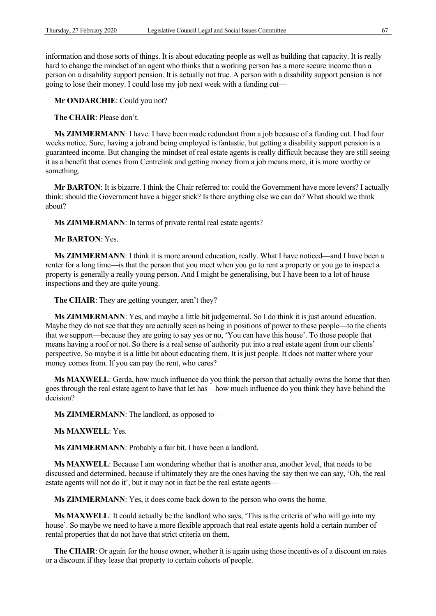information and those sorts of things. It is about educating people as well as building that capacity. It is really hard to change the mindset of an agent who thinks that a working person has a more secure income than a person on a disability support pension. It is actually not true. A person with a disability support pension is not going to lose their money. I could lose my job next week with a funding cut—

**Mr ONDARCHIE**: Could you not?

**The CHAIR**: Please don't.

**Ms ZIMMERMANN**: I have. I have been made redundant from a job because of a funding cut. I had four weeks notice. Sure, having a job and being employed is fantastic, but getting a disability support pension is a guaranteed income. But changing the mindset of real estate agents is really difficult because they are still seeing it as a benefit that comes from Centrelink and getting money from a job means more, it is more worthy or something.

**Mr BARTON**: It is bizarre. I think the Chair referred to: could the Government have more levers? I actually think: should the Government have a bigger stick? Is there anything else we can do? What should we think about?

**Ms ZIMMERMANN**: In terms of private rental real estate agents?

**Mr BARTON**: Yes.

Ms **ZIMMERMANN**: I think it is more around education, really. What I have noticed—and I have been a renter for a long time—is that the person that you meet when you go to rent a property or you go to inspect a property is generally a really young person. And I might be generalising, but I have been to a lot of house inspections and they are quite young.

The CHAIR: They are getting younger, aren't they?

**Ms ZIMMERMANN**: Yes, and maybe a little bit judgemental. So I do think it is just around education. Maybe they do not see that they are actually seen as being in positions of power to these people—to the clients that we support—because they are going to say yes or no, 'You can have this house'. To those people that means having a roof or not. So there is a real sense of authority put into a real estate agent from our clients' perspective. So maybe it is a little bit about educating them. It is just people. It does not matter where your money comes from. If you can pay the rent, who cares?

**Ms MAXWELL**: Gerda, how much influence do you think the person that actually owns the home that then goes through the real estate agent to have that let has—how much influence do you think they have behind the decision?

**Ms ZIMMERMANN**: The landlord, as opposed to—

**Ms MAXWELL**: Yes.

**Ms ZIMMERMANN**: Probably a fair bit. I have been a landlord.

**Ms MAXWELL**: Because I am wondering whether that is another area, another level, that needs to be discussed and determined, because if ultimately they are the ones having the say then we can say, 'Oh, the real estate agents will not do it', but it may not in fact be the real estate agents—

**Ms ZIMMERMANN**: Yes, it does come back down to the person who owns the home.

**Ms MAXWELL**: It could actually be the landlord who says, 'This is the criteria of who will go into my house'. So maybe we need to have a more flexible approach that real estate agents hold a certain number of rental properties that do not have that strict criteria on them.

**The CHAIR**: Or again for the house owner, whether it is again using those incentives of a discount on rates or a discount if they lease that property to certain cohorts of people.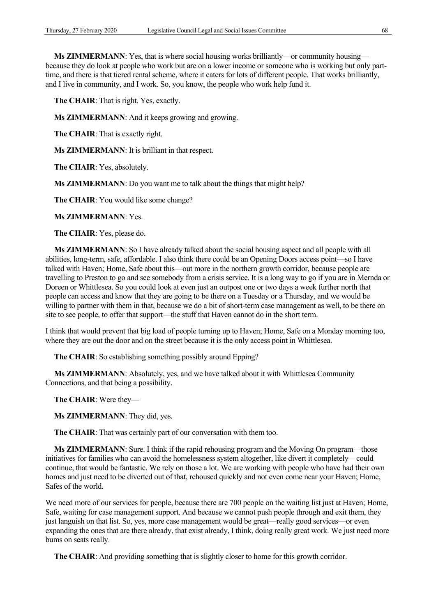**Ms ZIMMERMANN**: Yes, that is where social housing works brilliantly—or community housing because they do look at people who work but are on a lower income or someone who is working but only parttime, and there is that tiered rental scheme, where it caters for lots of different people. That works brilliantly, and I live in community, and I work. So, you know, the people who work help fund it.

**The CHAIR**: That is right. Yes, exactly.

**Ms ZIMMERMANN**: And it keeps growing and growing.

**The CHAIR**: That is exactly right.

**Ms ZIMMERMANN**: It is brilliant in that respect.

**The CHAIR**: Yes, absolutely.

**Ms ZIMMERMANN**: Do you want me to talk about the things that might help?

**The CHAIR**: You would like some change?

**Ms ZIMMERMANN**: Yes.

**The CHAIR**: Yes, please do.

**Ms ZIMMERMANN**: So I have already talked about the social housing aspect and all people with all abilities, long-term, safe, affordable. I also think there could be an Opening Doors access point—so I have talked with Haven; Home, Safe about this—out more in the northern growth corridor, because people are travelling to Preston to go and see somebody from a crisis service. It is a long way to go if you are in Mernda or Doreen or Whittlesea. So you could look at even just an outpost one or two days a week further north that people can access and know that they are going to be there on a Tuesday or a Thursday, and we would be willing to partner with them in that, because we do a bit of short-term case management as well, to be there on site to see people, to offer that support—the stuff that Haven cannot do in the short term.

I think that would prevent that big load of people turning up to Haven; Home, Safe on a Monday morning too, where they are out the door and on the street because it is the only access point in Whittlesea.

**The CHAIR**: So establishing something possibly around Epping?

**Ms ZIMMERMANN**: Absolutely, yes, and we have talked about it with Whittlesea Community Connections, and that being a possibility.

**The CHAIR**: Were they—

**Ms ZIMMERMANN**: They did, yes.

**The CHAIR**: That was certainly part of our conversation with them too.

**Ms ZIMMERMANN**: Sure. I think if the rapid rehousing program and the Moving On program—those initiatives for families who can avoid the homelessness system altogether, like divert it completely—could continue, that would be fantastic. We rely on those a lot. We are working with people who have had their own homes and just need to be diverted out of that, rehoused quickly and not even come near your Haven; Home, Safes of the world.

We need more of our services for people, because there are 700 people on the waiting list just at Haven; Home, Safe, waiting for case management support. And because we cannot push people through and exit them, they just languish on that list. So, yes, more case management would be great—really good services—or even expanding the ones that are there already, that exist already, I think, doing really great work. We just need more bums on seats really.

**The CHAIR**: And providing something that is slightly closer to home for this growth corridor.